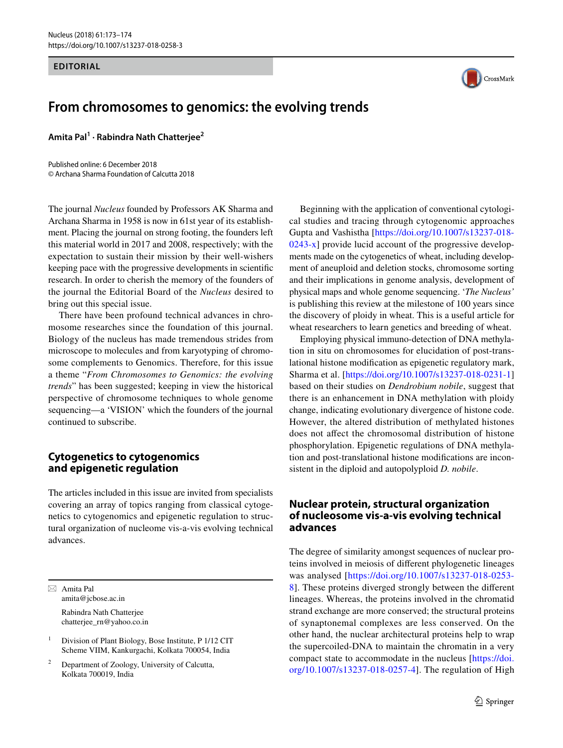#### **EDITORIAL**



# **From chromosomes to genomics: the evolving trends**

**Amita Pal1 · Rabindra Nath Chatterjee2**

Published online: 6 December 2018 © Archana Sharma Foundation of Calcutta 2018

The journal *Nucleus* founded by Professors AK Sharma and Archana Sharma in 1958 is now in 61st year of its establishment. Placing the journal on strong footing, the founders left this material world in 2017 and 2008, respectively; with the expectation to sustain their mission by their well-wishers keeping pace with the progressive developments in scientifc research. In order to cherish the memory of the founders of the journal the Editorial Board of the *Nucleus* desired to bring out this special issue.

There have been profound technical advances in chromosome researches since the foundation of this journal. Biology of the nucleus has made tremendous strides from microscope to molecules and from karyotyping of chromosome complements to Genomics. Therefore, for this issue a theme "*From Chromosomes to Genomics: the evolving trends*" has been suggested; keeping in view the historical perspective of chromosome techniques to whole genome sequencing—a 'VISION' which the founders of the journal continued to subscribe.

#### **Cytogenetics to cytogenomics and epigenetic regulation**

The articles included in this issue are invited from specialists covering an array of topics ranging from classical cytogenetics to cytogenomics and epigenetic regulation to structural organization of nucleome vis-a-vis evolving technical advances.

 $\boxtimes$  Amita Pal amita@jcbose.ac.in

> Rabindra Nath Chatterjee chatterjee\_rn@yahoo.co.in

<sup>1</sup> Division of Plant Biology, Bose Institute, P 1/12 CIT Scheme VIIM, Kankurgachi, Kolkata 700054, India

<sup>2</sup> Department of Zoology, University of Calcutta, Kolkata 700019, India

Beginning with the application of conventional cytological studies and tracing through cytogenomic approaches Gupta and Vashistha [[https://doi.org/10.1007/s13237-018-](https://doi.org/10.1007/s13237-018-0243-x) [0243-x\]](https://doi.org/10.1007/s13237-018-0243-x) provide lucid account of the progressive developments made on the cytogenetics of wheat, including development of aneuploid and deletion stocks, chromosome sorting and their implications in genome analysis, development of physical maps and whole genome sequencing. '*The Nucleus'* is publishing this review at the milestone of 100 years since the discovery of ploidy in wheat. This is a useful article for wheat researchers to learn genetics and breeding of wheat.

Employing physical immuno-detection of DNA methylation in situ on chromosomes for elucidation of post-translational histone modifcation as epigenetic regulatory mark, Sharma et al. [[https://doi.org/10.1007/s13237-018-0231-1\]](https://doi.org/10.1007/s13237-018-0231-1) based on their studies on *Dendrobium nobile*, suggest that there is an enhancement in DNA methylation with ploidy change, indicating evolutionary divergence of histone code. However, the altered distribution of methylated histones does not affect the chromosomal distribution of histone phosphorylation. Epigenetic regulations of DNA methylation and post-translational histone modifcations are inconsistent in the diploid and autopolyploid *D. nobile*.

### **Nuclear protein, structural organization of nucleosome vis‑a‑vis evolving technical advances**

The degree of similarity amongst sequences of nuclear proteins involved in meiosis of diferent phylogenetic lineages was analysed [\[https://doi.org/10.1007/s13237-018-0253-](https://doi.org/10.1007/s13237-018-0253-8) [8](https://doi.org/10.1007/s13237-018-0253-8)]. These proteins diverged strongly between the diferent lineages. Whereas, the proteins involved in the chromatid strand exchange are more conserved; the structural proteins of synaptonemal complexes are less conserved. On the other hand, the nuclear architectural proteins help to wrap the supercoiled-DNA to maintain the chromatin in a very compact state to accommodate in the nucleus [[https://doi.](https://doi.org/10.1007/s13237-018-0257-4) [org/10.1007/s13237-018-0257-4\]](https://doi.org/10.1007/s13237-018-0257-4). The regulation of High